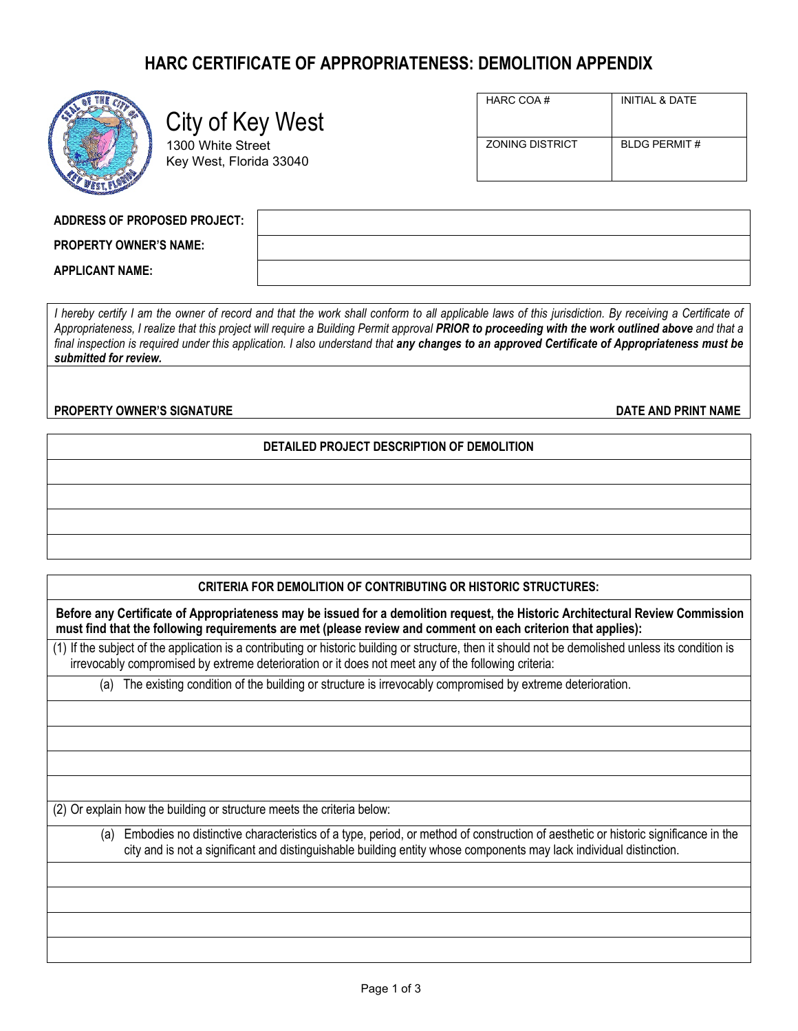# **HARC CERTIFICATE OF APPROPRIATENESS: DEMOLITION APPENDIX**



# City of Key West

1300 White Street Key West, Florida 33040

| HARC COA#              | INITIAL & DATE      |
|------------------------|---------------------|
| <b>ZONING DISTRICT</b> | <b>BLDG PERMIT#</b> |

**PROPERTY OWNER'S NAME:**

**APPLICANT NAME:**

*I* hereby certify I am the owner of record and that the work shall conform to all applicable laws of this jurisdiction. By receiving a Certificate of *Appropriateness, I realize that this project will require a Building Permit approval PRIOR to proceeding with the work outlined above and that a*  final inspection is required under this application. I also understand that **any changes to an approved Certificate of Appropriateness must be** *submitted for review.*

**PROPERTY OWNER'S SIGNATURE DATE AND PRINT NAME**

## **DETAILED PROJECT DESCRIPTION OF DEMOLITION**

### **CRITERIA FOR DEMOLITION OF CONTRIBUTING OR HISTORIC STRUCTURES:**

**Before any Certificate of Appropriateness may be issued for a demolition request, the Historic Architectural Review Commission must find that the following requirements are met (please review and comment on each criterion that applies):**

(1) If the subject of the application is a contributing or historic building or structure, then it should not be demolished unless its condition is irrevocably compromised by extreme deterioration or it does not meet any of the following criteria:

(a) The existing condition of the building or structure is irrevocably compromised by extreme deterioration.

(2) Or explain how the building or structure meets the criteria below:

(a) Embodies no distinctive characteristics of a type, period, or method of construction of aesthetic or historic significance in the city and is not a significant and distinguishable building entity whose components may lack individual distinction.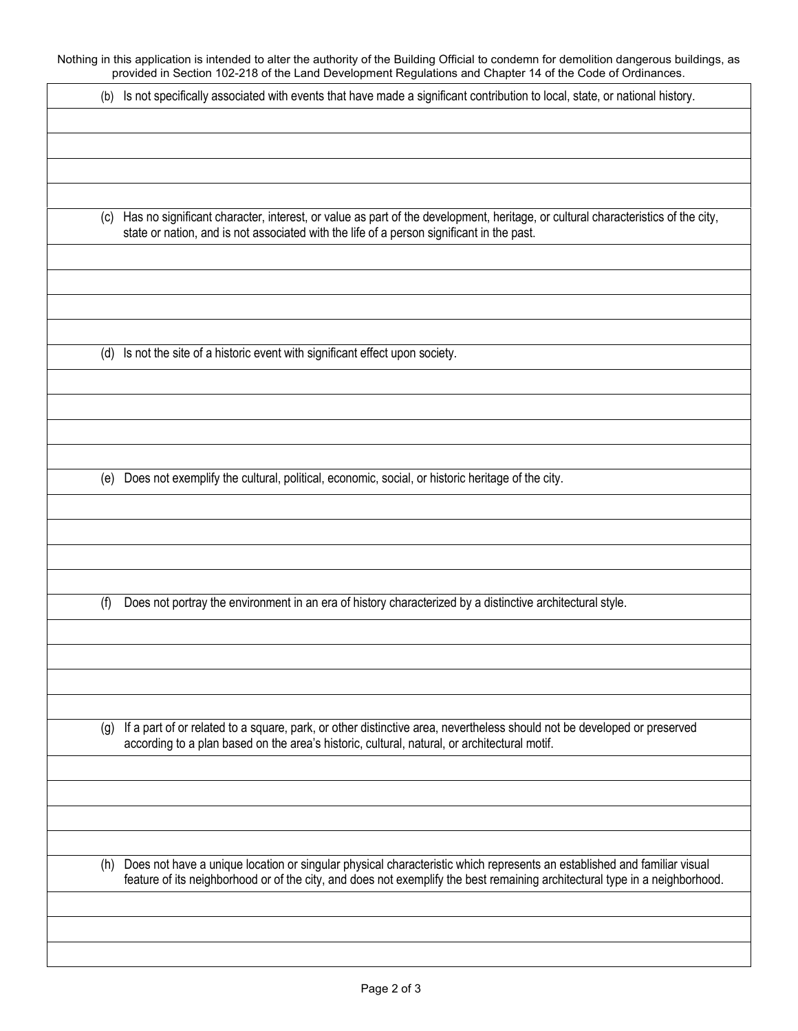Nothing in this application is intended to alter the authority of the Building Official to condemn for demolition dangerous buildings, as provided in Section 102-218 of the Land Development Regulations and Chapter 14 of the Code of Ordinances.

| (b) Is not specifically associated with events that have made a significant contribution to local, state, or national history. |  |
|--------------------------------------------------------------------------------------------------------------------------------|--|
|--------------------------------------------------------------------------------------------------------------------------------|--|

(c) Has no significant character, interest, or value as part of the development, heritage, or cultural characteristics of the city, state or nation, and is not associated with the life of a person significant in the past.

(d) Is not the site of a historic event with significant effect upon society.

(e) Does not exemplify the cultural, political, economic, social, or historic heritage of the city.

(f) Does not portray the environment in an era of history characterized by a distinctive architectural style.

(g) If a part of or related to a square, park, or other distinctive area, nevertheless should not be developed or preserved according to a plan based on the area's historic, cultural, natural, or architectural motif.

(h) Does not have a unique location or singular physical characteristic which represents an established and familiar visual feature of its neighborhood or of the city, and does not exemplify the best remaining architectural type in a neighborhood.